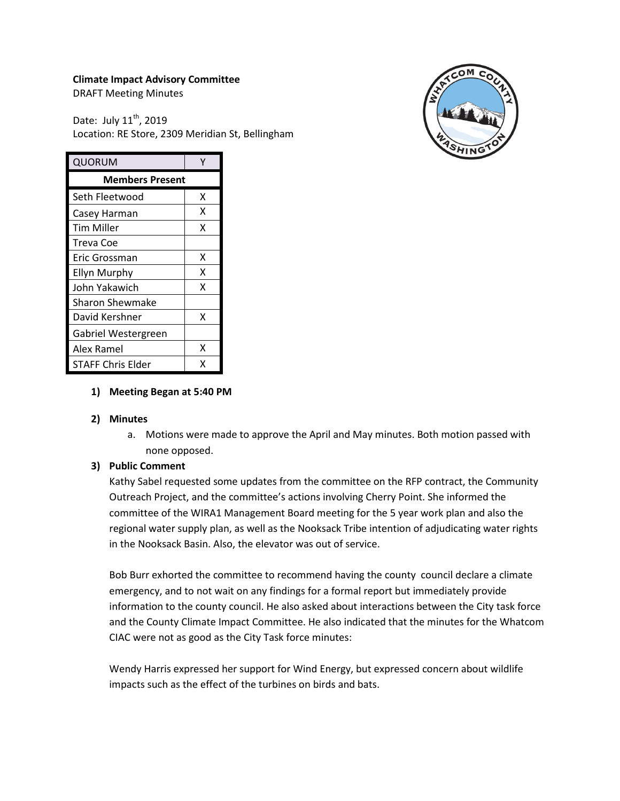## **Climate Impact Advisory Committee**

DRAFT Meeting Minutes

Date: July  $11^{th}$ , 2019 Location: RE Store, 2309 Meridian St, Bellingham



| <b>QUORUM</b>            |   |
|--------------------------|---|
| <b>Members Present</b>   |   |
| Seth Fleetwood           | x |
| Casey Harman             | x |
| Tim Miller               | x |
| <b>Treva Coe</b>         |   |
| Eric Grossman            | x |
| <b>Ellyn Murphy</b>      | x |
| John Yakawich            | x |
| Sharon Shewmake          |   |
| David Kershner           | x |
| Gabriel Westergreen      |   |
| Alex Ramel               | x |
| <b>STAFF Chris Elder</b> | x |

## **1) Meeting Began at 5:40 PM**

## **2) Minutes**

a. Motions were made to approve the April and May minutes. Both motion passed with none opposed.

## **3) Public Comment**

Kathy Sabel requested some updates from the committee on the RFP contract, the Community Outreach Project, and the committee's actions involving Cherry Point. She informed the committee of the WIRA1 Management Board meeting for the 5 year work plan and also the regional water supply plan, as well as the Nooksack Tribe intention of adjudicating water rights in the Nooksack Basin. Also, the elevator was out of service.

Bob Burr exhorted the committee to recommend having the county council declare a climate emergency, and to not wait on any findings for a formal report but immediately provide information to the county council. He also asked about interactions between the City task force and the County Climate Impact Committee. He also indicated that the minutes for the Whatcom CIAC were not as good as the City Task force minutes:

Wendy Harris expressed her support for Wind Energy, but expressed concern about wildlife impacts such as the effect of the turbines on birds and bats.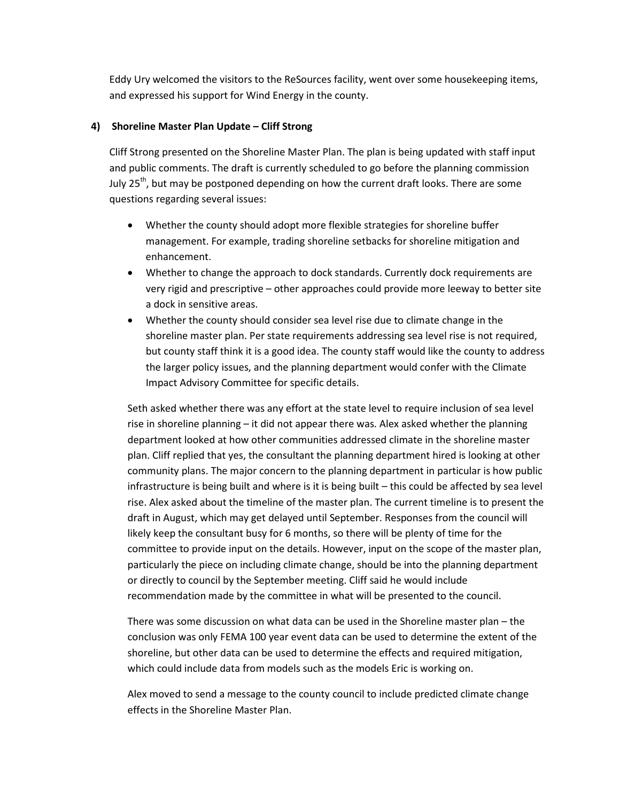Eddy Ury welcomed the visitors to the ReSources facility, went over some housekeeping items, and expressed his support for Wind Energy in the county.

#### **4) Shoreline Master Plan Update – Cliff Strong**

Cliff Strong presented on the Shoreline Master Plan. The plan is being updated with staff input and public comments. The draft is currently scheduled to go before the planning commission July 25<sup>th</sup>, but may be postponed depending on how the current draft looks. There are some questions regarding several issues:

- Whether the county should adopt more flexible strategies for shoreline buffer management. For example, trading shoreline setbacks for shoreline mitigation and enhancement.
- Whether to change the approach to dock standards. Currently dock requirements are very rigid and prescriptive – other approaches could provide more leeway to better site a dock in sensitive areas.
- Whether the county should consider sea level rise due to climate change in the shoreline master plan. Per state requirements addressing sea level rise is not required, but county staff think it is a good idea. The county staff would like the county to address the larger policy issues, and the planning department would confer with the Climate Impact Advisory Committee for specific details.

Seth asked whether there was any effort at the state level to require inclusion of sea level rise in shoreline planning – it did not appear there was. Alex asked whether the planning department looked at how other communities addressed climate in the shoreline master plan. Cliff replied that yes, the consultant the planning department hired is looking at other community plans. The major concern to the planning department in particular is how public infrastructure is being built and where is it is being built – this could be affected by sea level rise. Alex asked about the timeline of the master plan. The current timeline is to present the draft in August, which may get delayed until September. Responses from the council will likely keep the consultant busy for 6 months, so there will be plenty of time for the committee to provide input on the details. However, input on the scope of the master plan, particularly the piece on including climate change, should be into the planning department or directly to council by the September meeting. Cliff said he would include recommendation made by the committee in what will be presented to the council.

There was some discussion on what data can be used in the Shoreline master plan – the conclusion was only FEMA 100 year event data can be used to determine the extent of the shoreline, but other data can be used to determine the effects and required mitigation, which could include data from models such as the models Eric is working on.

Alex moved to send a message to the county council to include predicted climate change effects in the Shoreline Master Plan.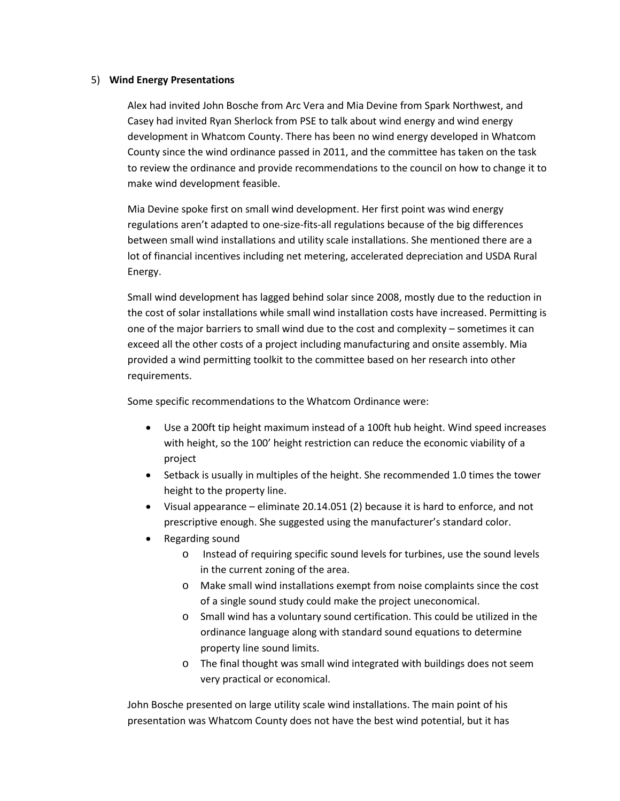#### 5) **Wind Energy Presentations**

Alex had invited John Bosche from Arc Vera and Mia Devine from Spark Northwest, and Casey had invited Ryan Sherlock from PSE to talk about wind energy and wind energy development in Whatcom County. There has been no wind energy developed in Whatcom County since the wind ordinance passed in 2011, and the committee has taken on the task to review the ordinance and provide recommendations to the council on how to change it to make wind development feasible.

Mia Devine spoke first on small wind development. Her first point was wind energy regulations aren't adapted to one-size-fits-all regulations because of the big differences between small wind installations and utility scale installations. She mentioned there are a lot of financial incentives including net metering, accelerated depreciation and USDA Rural Energy.

Small wind development has lagged behind solar since 2008, mostly due to the reduction in the cost of solar installations while small wind installation costs have increased. Permitting is one of the major barriers to small wind due to the cost and complexity – sometimes it can exceed all the other costs of a project including manufacturing and onsite assembly. Mia provided a wind permitting toolkit to the committee based on her research into other requirements.

Some specific recommendations to the Whatcom Ordinance were:

- Use a 200ft tip height maximum instead of a 100ft hub height. Wind speed increases with height, so the 100' height restriction can reduce the economic viability of a project
- Setback is usually in multiples of the height. She recommended 1.0 times the tower height to the property line.
- Visual appearance eliminate 20.14.051 (2) because it is hard to enforce, and not prescriptive enough. She suggested using the manufacturer's standard color.
- Regarding sound
	- o Instead of requiring specific sound levels for turbines, use the sound levels in the current zoning of the area.
	- o Make small wind installations exempt from noise complaints since the cost of a single sound study could make the project uneconomical.
	- o Small wind has a voluntary sound certification. This could be utilized in the ordinance language along with standard sound equations to determine property line sound limits.
	- o The final thought was small wind integrated with buildings does not seem very practical or economical.

John Bosche presented on large utility scale wind installations. The main point of his presentation was Whatcom County does not have the best wind potential, but it has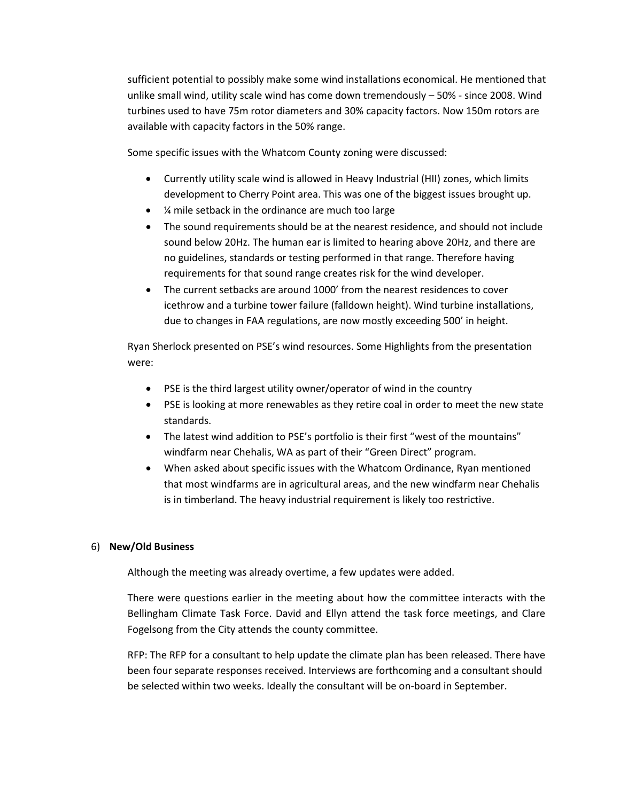sufficient potential to possibly make some wind installations economical. He mentioned that unlike small wind, utility scale wind has come down tremendously – 50% - since 2008. Wind turbines used to have 75m rotor diameters and 30% capacity factors. Now 150m rotors are available with capacity factors in the 50% range.

Some specific issues with the Whatcom County zoning were discussed:

- Currently utility scale wind is allowed in Heavy Industrial (HII) zones, which limits development to Cherry Point area. This was one of the biggest issues brought up.
- ¼ mile setback in the ordinance are much too large
- The sound requirements should be at the nearest residence, and should not include sound below 20Hz. The human ear is limited to hearing above 20Hz, and there are no guidelines, standards or testing performed in that range. Therefore having requirements for that sound range creates risk for the wind developer.
- The current setbacks are around 1000' from the nearest residences to cover icethrow and a turbine tower failure (falldown height). Wind turbine installations, due to changes in FAA regulations, are now mostly exceeding 500' in height.

Ryan Sherlock presented on PSE's wind resources. Some Highlights from the presentation were:

- PSE is the third largest utility owner/operator of wind in the country
- PSE is looking at more renewables as they retire coal in order to meet the new state standards.
- The latest wind addition to PSE's portfolio is their first "west of the mountains" windfarm near Chehalis, WA as part of their "Green Direct" program.
- When asked about specific issues with the Whatcom Ordinance, Ryan mentioned that most windfarms are in agricultural areas, and the new windfarm near Chehalis is in timberland. The heavy industrial requirement is likely too restrictive.

# 6) **New/Old Business**

Although the meeting was already overtime, a few updates were added.

There were questions earlier in the meeting about how the committee interacts with the Bellingham Climate Task Force. David and Ellyn attend the task force meetings, and Clare Fogelsong from the City attends the county committee.

RFP: The RFP for a consultant to help update the climate plan has been released. There have been four separate responses received. Interviews are forthcoming and a consultant should be selected within two weeks. Ideally the consultant will be on-board in September.